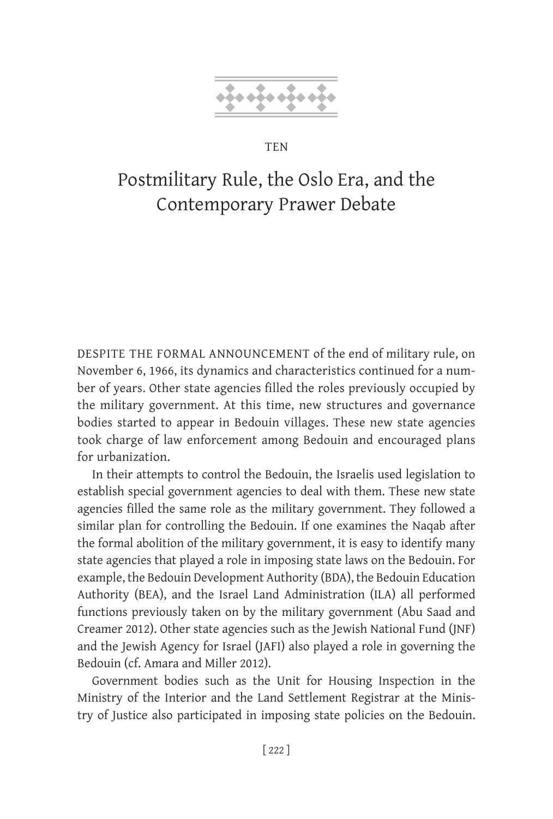

**TEN** 

# Postmilitary Rule, the Oslo Era, and the Contemporary Prawer Debate

DESPITE THE FORMAL ANNOUNCEMENT of the end of military rule, on November 6, 1966, its dynamics and characteristics continued for a number of years. Other state agencies filled the roles previously occupied by the military government. At this time, new structures and governance bodies started to appear in Bedouin villages. These new state agencies took charge of law enforcement among Bedouin and encouraged plans for urbanization.

In their attempts to control the Bedouin, the Israelis used legislation to establish special government agencies to deal with them. These new state agencies filled the same role as the military government. They followed a similar plan for controlling the Bedouin. If one examines the Naqab after the formal abolition of the military government, it is easy to identify many state agencies that played a role in imposing state laws on the Bedouin. For example, the Bedouin Development Authority (BDA), the Bedouin Education Authority (BEA), and the Israel Land Administration (ILA) all performed functions previously taken on by the military government (Abu Saad and Creamer 2012). Other state agencies such as the Jewish National Fund (JNF) and the Jewish Agency for Israel (JAFI) also played a role in governing the Bedouin (cf. Amara and Miller 2012).

Government bodies such as the Unit for Housing Inspection in the Ministry of the Interior and the Land Settlement Registrar at the Ministry of Justice also participated in imposing state policies on the Bedouin.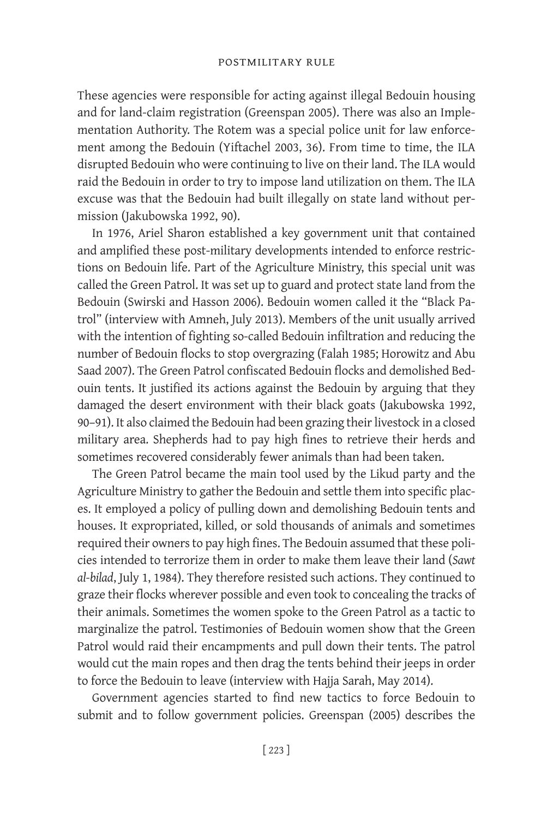These agencies were responsible for acting against illegal Bedouin housing and for land-claim registration (Greenspan 2005). There was also an Implementation Authority. The Rotem was a special police unit for law enforcement among the Bedouin (Yiftachel 2003, 36). From time to time, the ILA disrupted Bedouin who were continuing to live on their land. The ILA would raid the Bedouin in order to try to impose land utilization on them. The ILA excuse was that the Bedouin had built illegally on state land without permission (Jakubowska 1992, 90).

In 1976, Ariel Sharon established a key government unit that contained and amplified these post-military developments intended to enforce restrictions on Bedouin life. Part of the Agriculture Ministry, this special unit was called the Green Patrol. It was set up to guard and protect state land from the Bedouin (Swirski and Hasson 2006). Bedouin women called it the "Black Patrol" (interview with Amneh, July 2013). Members of the unit usually arrived with the intention of fighting so-called Bedouin infiltration and reducing the number of Bedouin flocks to stop overgrazing (Falah 1985; Horowitz and Abu Saad 2007). The Green Patrol confiscated Bedouin flocks and demolished Bedouin tents. It justified its actions against the Bedouin by arguing that they damaged the desert environment with their black goats (Jakubowska 1992, 90–91). It also claimed the Bedouin had been grazing their livestock in a closed military area. Shepherds had to pay high fines to retrieve their herds and sometimes recovered considerably fewer animals than had been taken.

The Green Patrol became the main tool used by the Likud party and the Agriculture Ministry to gather the Bedouin and settle them into specific places. It employed a policy of pulling down and demolishing Bedouin tents and houses. It expropriated, killed, or sold thousands of animals and sometimes required their owners to pay high fines. The Bedouin assumed that these policies intended to terrorize them in order to make them leave their land (*Sawt al-bilad*, July 1, 1984). They therefore resisted such actions. They continued to graze their flocks wherever possible and even took to concealing the tracks of their animals. Sometimes the women spoke to the Green Patrol as a tactic to marginalize the patrol. Testimonies of Bedouin women show that the Green Patrol would raid their encampments and pull down their tents. The patrol would cut the main ropes and then drag the tents behind their jeeps in order to force the Bedouin to leave (interview with Hajja Sarah, May 2014).

Government agencies started to find new tactics to force Bedouin to submit and to follow government policies. Greenspan (2005) describes the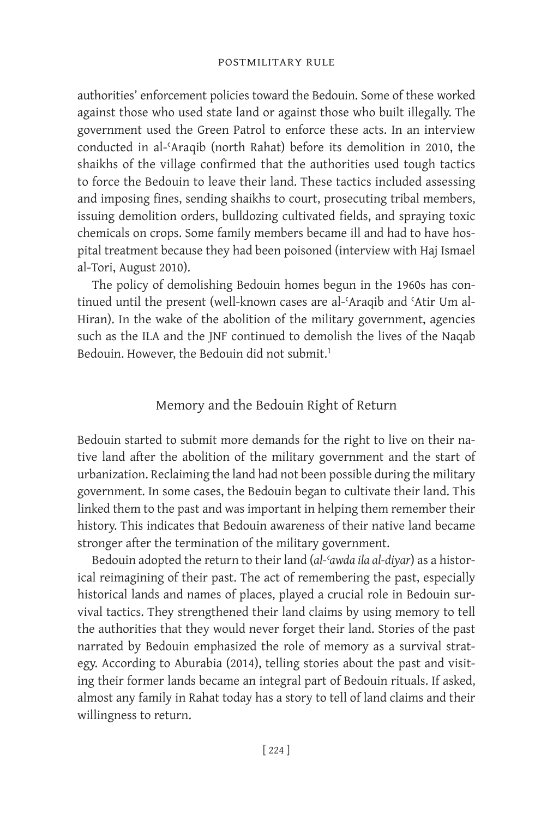authorities' enforcement policies toward the Bedouin. Some of these worked against those who used state land or against those who built illegally. The government used the Green Patrol to enforce these acts. In an interview conducted in al-Araqib (north Rahat) before its demolition in 2010, the shaikhs of the village confirmed that the authorities used tough tactics to force the Bedouin to leave their land. These tactics included assessing and imposing fines, sending shaikhs to court, prosecuting tribal members, issuing demolition orders, bulldozing cultivated fields, and spraying toxic chemicals on crops. Some family members became ill and had to have hospital treatment because they had been poisoned (interview with Haj Ismael al-Tori, August 2010).

The policy of demolishing Bedouin homes begun in the 1960s has continued until the present (well-known cases are al-'Araqib and 'Atir Um al-Hiran). In the wake of the abolition of the military government, agencies such as the ILA and the JNF continued to demolish the lives of the Naqab Bedouin. However, the Bedouin did not submit.<sup>1</sup>

### Memory and the Bedouin Right of Return

Bedouin started to submit more demands for the right to live on their native land after the abolition of the military government and the start of urbanization. Reclaiming the land had not been possible during the military government. In some cases, the Bedouin began to cultivate their land. This linked them to the past and was important in helping them remember their history. This indicates that Bedouin awareness of their native land became stronger after the termination of the military government.

Bedouin adopted the return to their land (al-'awda ila al-diyar) as a historical reimagining of their past. The act of remembering the past, especially historical lands and names of places, played a crucial role in Bedouin survival tactics. They strengthened their land claims by using memory to tell the authorities that they would never forget their land. Stories of the past narrated by Bedouin emphasized the role of memory as a survival strategy. According to Aburabia (2014), telling stories about the past and visiting their former lands became an integral part of Bedouin rituals. If asked, almost any family in Rahat today has a story to tell of land claims and their willingness to return.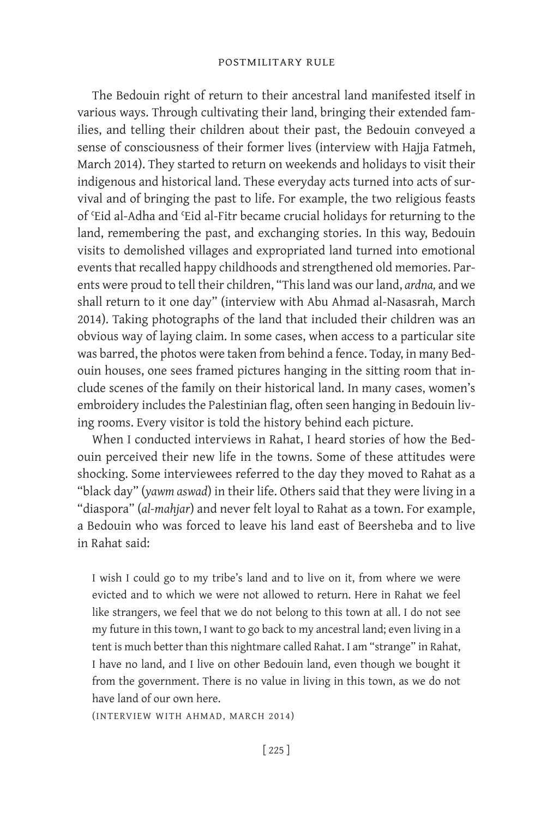#### POSTMILITARY RULE

The Bedouin right of return to their ancestral land manifested itself in various ways. Through cultivating their land, bringing their extended families, and telling their children about their past, the Bedouin conveyed a sense of consciousness of their former lives (interview with Hajja Fatmeh, March 2014). They started to return on weekends and holidays to visit their indigenous and historical land. These everyday acts turned into acts of survival and of bringing the past to life. For example, the two religious feasts of 'Eid al-Adha and 'Eid al-Fitr became crucial holidays for returning to the land, remembering the past, and exchanging stories. In this way, Bedouin visits to demolished villages and expropriated land turned into emotional events that recalled happy childhoods and strengthened old memories. Parents were proud to tell their children, "This land was our land, *ardna*, and we shall return to it one day" (interview with Abu Ahmad al-Nasasrah, March 2014). Taking photographs of the land that included their children was an obvious way of laying claim. In some cases, when access to a particular site was barred, the photos were taken from behind a fence. Today, in many Bedouin houses, one sees framed pictures hanging in the sitting room that include scenes of the family on their historical land. In many cases, women's embroidery includes the Palestinian flag, often seen hanging in Bedouin living rooms. Every visitor is told the history behind each picture.

When I conducted interviews in Rahat, I heard stories of how the Bedouin perceived their new life in the towns. Some of these attitudes were shocking. Some interviewees referred to the day they moved to Rahat as a "black day" (yawm aswad) in their life. Others said that they were living in a "diaspora" (*al-mahjar*) and never felt loyal to Rahat as a town. For example, a Bedouin who was forced to leave his land east of Beersheba and to live in Rahat said:

I wish I could go to my tribe's land and to live on it, from where we were evicted and to which we were not allowed to return. Here in Rahat we feel like strangers, we feel that we do not belong to this town at all. I do not see my future in this town, I want to go back to my ancestral land; even living in a tent is much better than this nightmare called Rahat. I am "strange" in Rahat, I have no land, and I live on other Bedouin land, even though we bought it from the government. There is no value in living in this town, as we do not have land of our own here.

(INTERVIEW WITH AHMAD, MARCH 2014)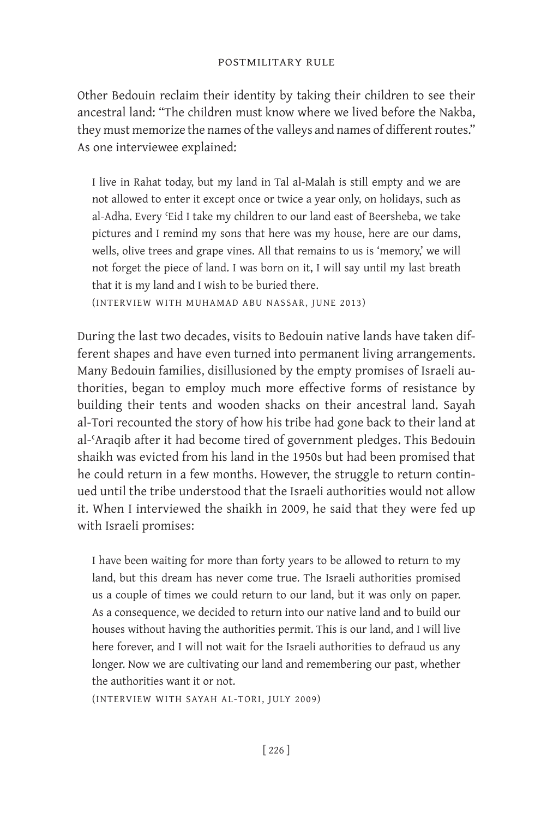Other Bedouin reclaim their identity by taking their children to see their ancestral land: "The children must know where we lived before the Nakba, they must memorize the names of the valleys and names of different routes." As one interviewee explained:

I live in Rahat today, but my land in Tal al-Malah is still empty and we are not allowed to enter it except once or twice a year only, on holidays, such as al-Adha. Every Eid I take my children to our land east of Beersheba, we take pictures and I remind my sons that here was my house, here are our dams, wells, olive trees and grape vines. All that remains to us is 'memory,' we will not forget the piece of land. I was born on it, I will say until my last breath that it is my land and I wish to be buried there.

(INTERVIEW WITH MUHAMAD ABU NASSAR, JUNE 2013)

During the last two decades, visits to Bedouin native lands have taken different shapes and have even turned into permanent living arrangements. Many Bedouin families, disillusioned by the empty promises of Israeli authorities, began to employ much more effective forms of resistance by building their tents and wooden shacks on their ancestral land. Sayah al-Tori recounted the story of how his tribe had gone back to their land at al-'Araqib after it had become tired of government pledges. This Bedouin shaikh was evicted from his land in the 1950s but had been promised that he could return in a few months. However, the struggle to return continued until the tribe understood that the Israeli authorities would not allow it. When I interviewed the shaikh in 2009, he said that they were fed up with Israeli promises:

I have been waiting for more than forty years to be allowed to return to my land, but this dream has never come true. The Israeli authorities promised us a couple of times we could return to our land, but it was only on paper. As a consequence, we decided to return into our native land and to build our houses without having the authorities permit. This is our land, and I will live here forever, and I will not wait for the Israeli authorities to defraud us any longer. Now we are cultivating our land and remembering our past, whether the authorities want it or not.

(INTERVIEW WITH SAYAH AL-TORI, JULY 2009)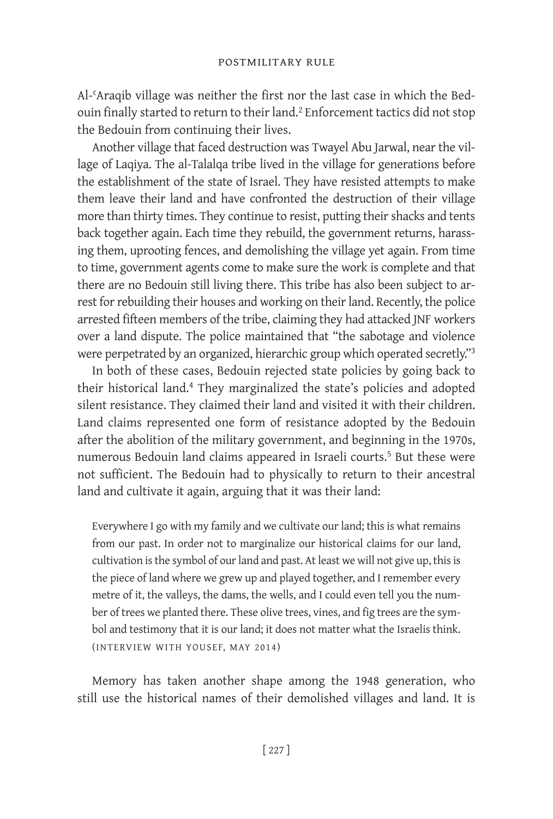Al-'Araqib village was neither the first nor the last case in which the Bedouin finally started to return to their land.<sup>2</sup> Enforcement tactics did not stop the Bedouin from continuing their lives.

Another village that faced destruction was Twayel Abu Jarwal, near the village of Laqiya. The al-Talalqa tribe lived in the village for generations before the establishment of the state of Israel. They have resisted attempts to make them leave their land and have confronted the destruction of their village more than thirty times. They continue to resist, putting their shacks and tents back together again. Each time they rebuild, the government returns, harassing them, uprooting fences, and demolishing the village yet again. From time to time, government agents come to make sure the work is complete and that there are no Bedouin still living there. This tribe has also been subject to arrest for rebuilding their houses and working on their land. Recently, the police arrested fifteen members of the tribe, claiming they had attacked JNF workers over a land dispute. The police maintained that "the sabotage and violence were perpetrated by an organized, hierarchic group which operated secretly."3

In both of these cases, Bedouin rejected state policies by going back to their historical land.<sup>4</sup> They marginalized the state's policies and adopted silent resistance. They claimed their land and visited it with their children. Land claims represented one form of resistance adopted by the Bedouin after the abolition of the military government, and beginning in the 1970s, numerous Bedouin land claims appeared in Israeli courts.<sup>5</sup> But these were not sufficient. The Bedouin had to physically to return to their ancestral land and cultivate it again, arguing that it was their land:

Everywhere I go with my family and we cultivate our land; this is what remains from our past. In order not to marginalize our historical claims for our land, cultivation is the symbol of our land and past. At least we will not give up, this is the piece of land where we grew up and played together, and I remember every metre of it, the valleys, the dams, the wells, and I could even tell you the number of trees we planted there. These olive trees, vines, and fig trees are the symbol and testimony that it is our land; it does not matter what the Israelis think. (INTERVIEW WITH YOUSEF, MAY 2014)

Memory has taken another shape among the 1948 generation, who still use the historical names of their demolished villages and land. It is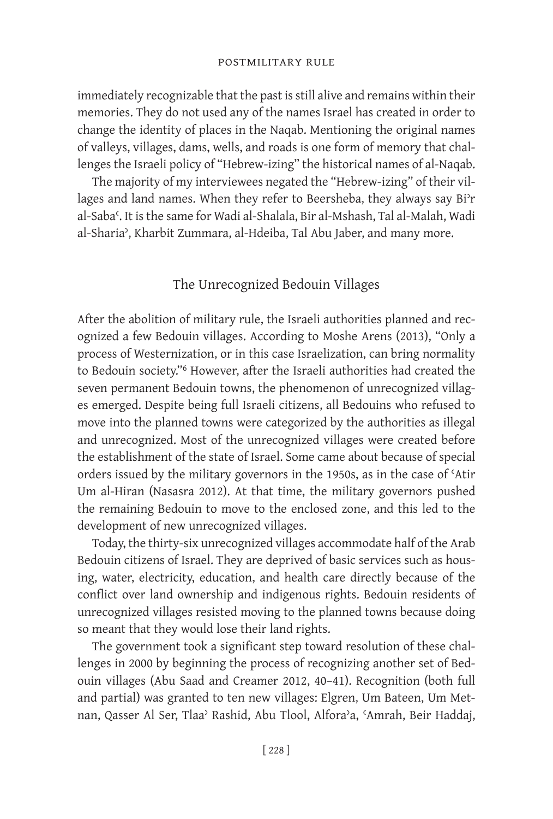immediately recognizable that the past is still alive and remains within their memories. They do not used any of the names Israel has created in order to change the identity of places in the Naqab. Mentioning the original names of valleys, villages, dams, wells, and roads is one form of memory that challenges the Israeli policy of "Hebrew-izing" the historical names of al-Naqab.

The majority of my interviewees negated the "Hebrew-izing" of their villages and land names. When they refer to Beersheba, they always say Bi'r al-Saba<sup>c</sup>. It is the same for Wadi al-Shalala, Bir al-Mshash, Tal al-Malah, Wadi al-Sharia<sup>3</sup>, Kharbit Zummara, al-Hdeiba, Tal Abu Jaber, and many more.

#### The Unrecognized Bedouin Villages

After the abolition of military rule, the Israeli authorities planned and recognized a few Bedouin villages. According to Moshe Arens (2013), "Only a process of Westernization, or in this case Israelization, can bring normality to Bedouin society."<sup>6</sup> However, after the Israeli authorities had created the seven permanent Bedouin towns, the phenomenon of unrecognized villages emerged. Despite being full Israeli citizens, all Bedouins who refused to move into the planned towns were categorized by the authorities as illegal and unrecognized. Most of the unrecognized villages were created before the establishment of the state of Israel. Some came about because of special orders issued by the military governors in the 1950s, as in the case of 'Atir Um al-Hiran (Nasasra 2012). At that time, the military governors pushed the remaining Bedouin to move to the enclosed zone, and this led to the development of new unrecognized villages.

Today, the thirty-six unrecognized villages accommodate half of the Arab Bedouin citizens of Israel. They are deprived of basic services such as housing, water, electricity, education, and health care directly because of the conflict over land ownership and indigenous rights. Bedouin residents of unrecognized villages resisted moving to the planned towns because doing so meant that they would lose their land rights.

The government took a significant step toward resolution of these challenges in 2000 by beginning the process of recognizing another set of Bedouin villages (Abu Saad and Creamer 2012, 40–41). Recognition (both full and partial) was granted to ten new villages: Elgren, Um Bateen, Um Metnan, Qasser Al Ser, Tlaa' Rashid, Abu Tlool, Alfora'a, 'Amrah, Beir Haddaj,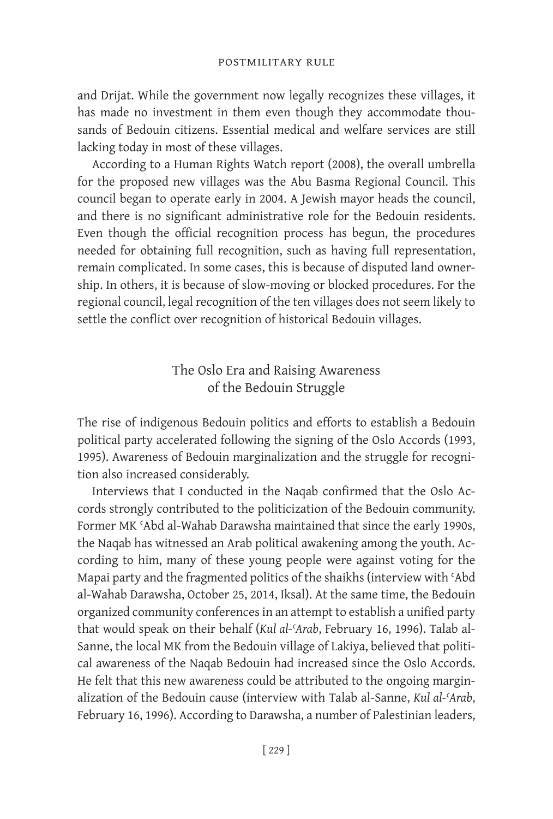and Drijat. While the government now legally recognizes these villages, it has made no investment in them even though they accommodate thousands of Bedouin citizens. Essential medical and welfare services are still lacking today in most of these villages.

According to a Human Rights Watch report (2008), the overall umbrella for the proposed new villages was the Abu Basma Regional Council. This council began to operate early in 2004. A Jewish mayor heads the council, and there is no significant administrative role for the Bedouin residents. Even though the official recognition process has begun, the procedures needed for obtaining full recognition, such as having full representation, remain complicated. In some cases, this is because of disputed land ownership. In others, it is because of slow-moving or blocked procedures. For the regional council, legal recognition of the ten villages does not seem likely to settle the conflict over recognition of historical Bedouin villages.

### The Oslo Era and Raising Awareness of the Bedouin Struggle

The rise of indigenous Bedouin politics and efforts to establish a Bedouin political party accelerated following the signing of the Oslo Accords (1993, 1995). Awareness of Bedouin marginalization and the struggle for recognition also increased considerably.

Interviews that I conducted in the Naqab confirmed that the Oslo Accords strongly contributed to the politicization of the Bedouin community. Former MK 'Abd al-Wahab Darawsha maintained that since the early 1990s, the Naqab has witnessed an Arab political awakening among the youth. According to him, many of these young people were against voting for the Mapai party and the fragmented politics of the shaikhs (interview with 'Abd al-Wahab Darawsha, October 25, 2014, Iksal). At the same time, the Bedouin organized community conferences in an attempt to establish a unified party that would speak on their behalf (*Kul al-'Arab*, February 16, 1996). Talab al-Sanne, the local MK from the Bedouin village of Lakiya, believed that political awareness of the Naqab Bedouin had increased since the Oslo Accords. He felt that this new awareness could be attributed to the ongoing marginalization of the Bedouin cause (interview with Talab al-Sanne, *Kul al-'Arab*, February 16, 1996). According to Darawsha, a number of Palestinian leaders,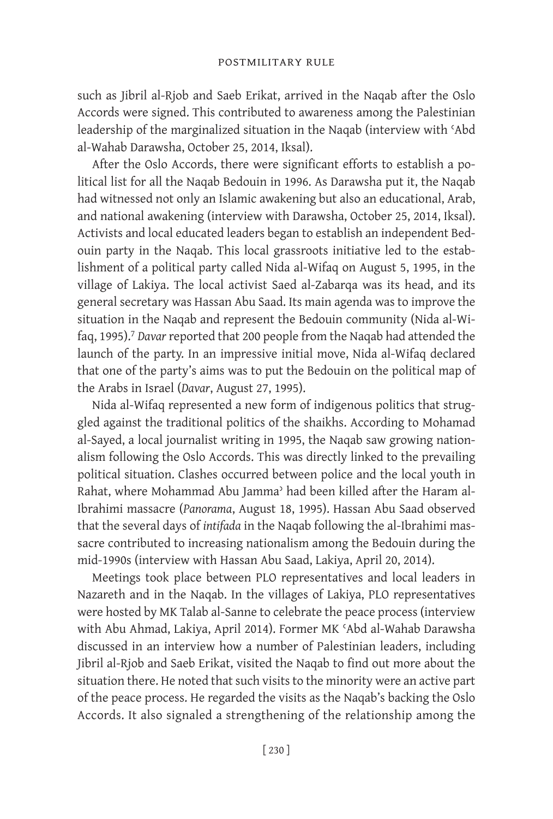such as Jibril al-Rjob and Saeb Erikat, arrived in the Naqab after the Oslo Accords were signed. This contributed to awareness among the Palestinian leadership of the marginalized situation in the Naqab (interview with 'Abd al-Wahab Darawsha, October 25, 2014, Iksal).

After the Oslo Accords, there were significant efforts to establish a political list for all the Naqab Bedouin in 1996. As Darawsha put it, the Naqab had witnessed not only an Islamic awakening but also an educational, Arab, and national awakening (interview with Darawsha, October 25, 2014, Iksal). Activists and local educated leaders began to establish an independent Bedouin party in the Naqab. This local grassroots initiative led to the establishment of a political party called Nida al-Wifaq on August 5, 1995, in the village of Lakiya. The local activist Saed al-Zabarqa was its head, and its general secretary was Hassan Abu Saad. Its main agenda was to improve the situation in the Naqab and represent the Bedouin community (Nida al-Wifaq, 1995).<sup>7</sup> Davar reported that 200 people from the Naqab had attended the launch of the party. In an impressive initial move, Nida al-Wifaq declared that one of the party's aims was to put the Bedouin on the political map of the Arabs in Israel (*Davar*, August 27, 1995).

Nida al-Wifaq represented a new form of indigenous politics that struggled against the traditional politics of the shaikhs. According to Mohamad al-Sayed, a local journalist writing in 1995, the Naqab saw growing nationalism following the Oslo Accords. This was directly linked to the prevailing political situation. Clashes occurred between police and the local youth in Rahat, where Mohammad Abu Jamma<sup>3</sup> had been killed after the Haram al-Ibrahimi massacre (Panorama, August 18, 1995). Hassan Abu Saad observed that the several days of *intifada* in the Naqab following the al-Ibrahimi massacre contributed to increasing nationalism among the Bedouin during the mid-1990s (interview with Hassan Abu Saad, Lakiya, April 20, 2014).

Meetings took place between PLO representatives and local leaders in Nazareth and in the Naqab. In the villages of Lakiya, PLO representatives were hosted by MK Talab al-Sanne to celebrate the peace process (interview with Abu Ahmad, Lakiya, April 2014). Former MK 'Abd al-Wahab Darawsha discussed in an interview how a number of Palestinian leaders, including Jibril al-Rjob and Saeb Erikat, visited the Naqab to find out more about the situation there. He noted that such visits to the minority were an active part of the peace process. He regarded the visits as the Naqab's backing the Oslo Accords. It also signaled a strengthening of the relationship among the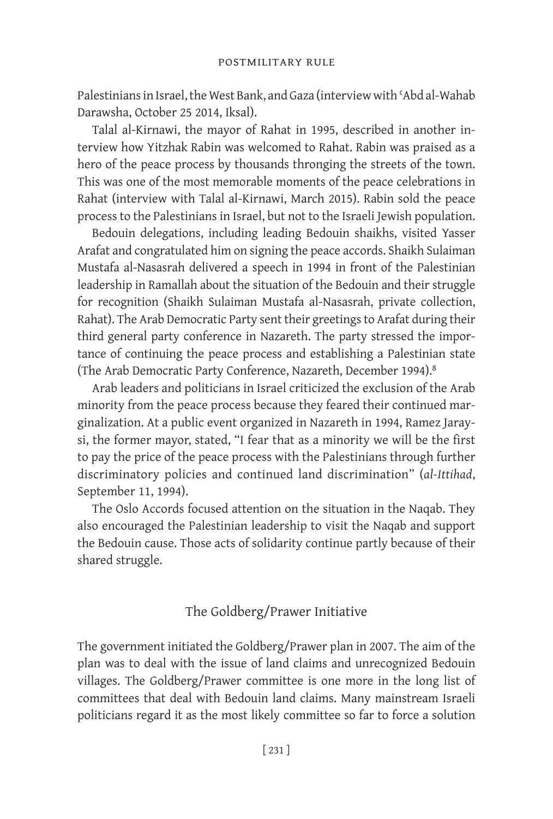Palestinians in Israel, the West Bank, and Gaza (interview with 'Abd al-Wahab Darawsha, October 25 2014, Iksal).

Talal al-Kirnawi, the mayor of Rahat in 1995, described in another interview how Yitzhak Rabin was welcomed to Rahat. Rabin was praised as a hero of the peace process by thousands thronging the streets of the town. This was one of the most memorable moments of the peace celebrations in Rahat (interview with Talal al-Kirnawi, March 2015). Rabin sold the peace process to the Palestinians in Israel, but not to the Israeli Jewish population.

Bedouin delegations, including leading Bedouin shaikhs, visited Yasser Arafat and congratulated him on signing the peace accords. Shaikh Sulaiman Mustafa al-Nasasrah delivered a speech in 1994 in front of the Palestinian leadership in Ramallah about the situation of the Bedouin and their struggle for recognition (Shaikh Sulaiman Mustafa al-Nasasrah, private collection, Rahat). The Arab Democratic Party sent their greetings to Arafat during their third general party conference in Nazareth. The party stressed the importance of continuing the peace process and establishing a Palestinian state (The Arab Democratic Party Conference, Nazareth, December 1994). 8

Arab leaders and politicians in Israel criticized the exclusion of the Arab minority from the peace process because they feared their continued marginalization. At a public event organized in Nazareth in 1994, Ramez Jaraysi, the former mayor, stated, "I fear that as a minority we will be the first to pay the price of the peace process with the Palestinians through further discriminatory policies and continued land discrimination" (al-Ittihad, September 11, 1994).

The Oslo Accords focused attention on the situation in the Naqab. They also encouraged the Palestinian leadership to visit the Naqab and support the Bedouin cause. Those acts of solidarity continue partly because of their shared struggle.

### The Goldberg/Prawer Initiative

The government initiated the Goldberg/Prawer plan in 2007. The aim of the plan was to deal with the issue of land claims and unrecognized Bedouin villages. The Goldberg/Prawer committee is one more in the long list of committees that deal with Bedouin land claims. Many mainstream Israeli politicians regard it as the most likely committee so far to force a solution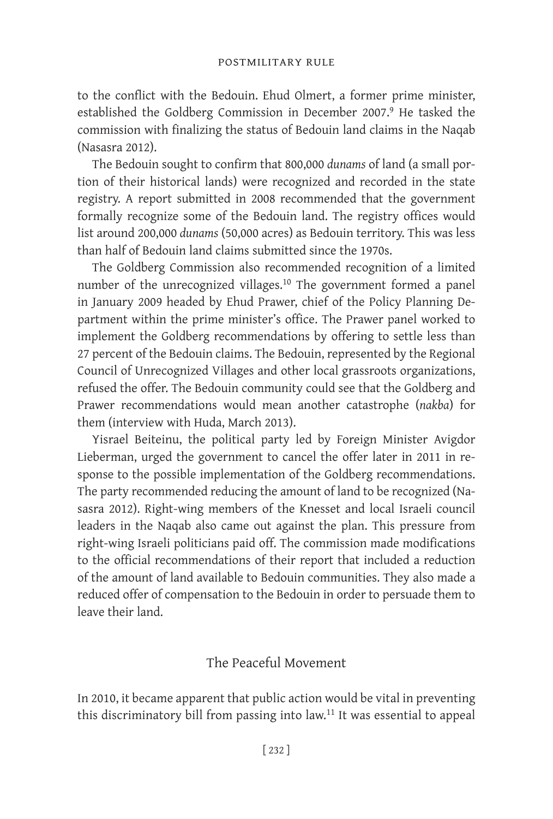to the conflict with the Bedouin. Ehud Olmert, a former prime minister, established the Goldberg Commission in December 2007.<sup>9</sup> He tasked the commission with finalizing the status of Bedouin land claims in the Naqab (Nasasra 2012).

The Bedouin sought to confirm that 800,000 dunams of land (a small portion of their historical lands) were recognized and recorded in the state registry. A report submitted in 2008 recommended that the government formally recognize some of the Bedouin land. The registry offices would list around 200,000 *dunams* (50,000 acres) as Bedouin territory. This was less than half of Bedouin land claims submitted since the 1970s.

The Goldberg Commission also recommended recognition of a limited number of the unrecognized villages.<sup>10</sup> The government formed a panel in January 2009 headed by Ehud Prawer, chief of the Policy Planning Department within the prime minister's office. The Prawer panel worked to implement the Goldberg recommendations by offering to settle less than 27 percent of the Bedouin claims. The Bedouin, represented by the Regional Council of Unrecognized Villages and other local grassroots organizations, refused the offer. The Bedouin community could see that the Goldberg and Prawer recommendations would mean another catastrophe (nakba) for them (interview with Huda, March 2013).

Yisrael Beiteinu, the political party led by Foreign Minister Avigdor Lieberman, urged the government to cancel the offer later in 2011 in response to the possible implementation of the Goldberg recommendations. The party recommended reducing the amount of land to be recognized (Nasasra 2012). Right-wing members of the Knesset and local Israeli council leaders in the Naqab also came out against the plan. This pressure from right-wing Israeli politicians paid off. The commission made modifications to the official recommendations of their report that included a reduction of the amount of land available to Bedouin communities. They also made a reduced offer of compensation to the Bedouin in order to persuade them to leave their land.

#### The Peaceful Movement

In 2010, it became apparent that public action would be vital in preventing this discriminatory bill from passing into law.<sup>11</sup> It was essential to appeal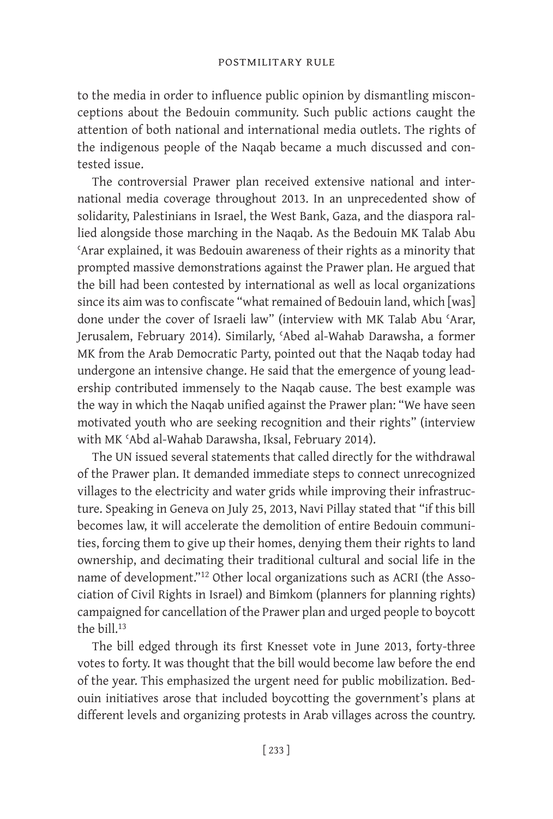to the media in order to influence public opinion by dismantling misconceptions about the Bedouin community. Such public actions caught the attention of both national and international media outlets. The rights of the indigenous people of the Naqab became a much discussed and contested issue.

The controversial Prawer plan received extensive national and international media coverage throughout 2013. In an unprecedented show of solidarity, Palestinians in Israel, the West Bank, Gaza, and the diaspora rallied alongside those marching in the Naqab. As the Bedouin MK Talab Abu Arar explained, it was Bedouin awareness of their rights as a minority that prompted massive demonstrations against the Prawer plan. He argued that the bill had been contested by international as well as local organizations since its aim was to confiscate "what remained of Bedouin land, which [was] done under the cover of Israeli law" (interview with MK Talab Abu 'Arar, Jerusalem, February 2014). Similarly, 'Abed al-Wahab Darawsha, a former MK from the Arab Democratic Party, pointed out that the Naqab today had undergone an intensive change. He said that the emergence of young leadership contributed immensely to the Naqab cause. The best example was the way in which the Naqab unified against the Prawer plan: "We have seen motivated youth who are seeking recognition and their rights" (interview with MK 'Abd al-Wahab Darawsha, Iksal, February 2014).

The UN issued several statements that called directly for the withdrawal of the Prawer plan. It demanded immediate steps to connect unrecognized villages to the electricity and water grids while improving their infrastructure. Speaking in Geneva on July 25, 2013, Navi Pillay stated that "if this bill becomes law, it will accelerate the demolition of entire Bedouin communities, forcing them to give up their homes, denying them their rights to land ownership, and decimating their traditional cultural and social life in the name of development."12 Other local organizations such as ACRI (the Association of Civil Rights in Israel) and Bimkom (planners for planning rights) campaigned for cancellation of the Prawer plan and urged people to boycott the bill.13

The bill edged through its first Knesset vote in June 2013, forty-three votes to forty. It was thought that the bill would become law before the end of the year. This emphasized the urgent need for public mobilization. Bedouin initiatives arose that included boycotting the government's plans at different levels and organizing protests in Arab villages across the country.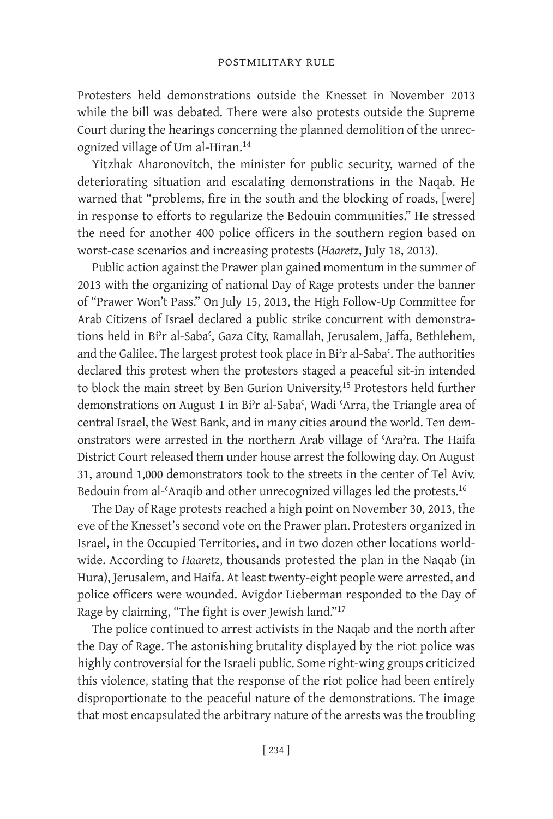Protesters held demonstrations outside the Knesset in November 2013 while the bill was debated. There were also protests outside the Supreme Court during the hearings concerning the planned demolition of the unrecognized village of Um al-Hiran.<sup>14</sup>

Yitzhak Aharonovitch, the minister for public security, warned of the deteriorating situation and escalating demonstrations in the Naqab. He warned that "problems, fire in the south and the blocking of roads, [were] in response to efforts to regularize the Bedouin communities." He stressed the need for another 400 police officers in the southern region based on worst-case scenarios and increasing protests (*Haaretz*, July 18, 2013).

Public action against the Prawer plan gained momentum in the summer of 2013 with the organizing of national Day of Rage protests under the banner of "Prawer Won't Pass." On July 15, 2013, the High Follow-Up Committee for Arab Citizens of Israel declared a public strike concurrent with demonstrations held in Bi<sup>2</sup>r al-Saba<sup>c</sup>, Gaza City, Ramallah, Jerusalem, Jaffa, Bethlehem, and the Galilee. The largest protest took place in Bi'r al-Saba'. The authorities declared this protest when the protestors staged a peaceful sit-in intended to block the main street by Ben Gurion University.15 Protestors held further demonstrations on August 1 in Bi'r al-Saba<sup>c</sup>, Wadi 'Arra, the Triangle area of central Israel, the West Bank, and in many cities around the world. Ten demonstrators were arrested in the northern Arab village of 'Ara'ra. The Haifa District Court released them under house arrest the following day. On August 31, around 1,000 demonstrators took to the streets in the center of Tel Aviv. Bedouin from al-Araqib and other unrecognized villages led the protests.<sup>16</sup>

The Day of Rage protests reached a high point on November 30, 2013, the eve of the Knesset's second vote on the Prawer plan. Protesters organized in Israel, in the Occupied Territories, and in two dozen other locations worldwide. According to *Haaretz*, thousands protested the plan in the Naqab (in Hura), Jerusalem, and Haifa. At least twenty-eight people were arrested, and police officers were wounded. Avigdor Lieberman responded to the Day of Rage by claiming, "The fight is over Jewish land."<sup>17</sup>

The police continued to arrest activists in the Naqab and the north after the Day of Rage. The astonishing brutality displayed by the riot police was highly controversial for the Israeli public. Some right-wing groups criticized this violence, stating that the response of the riot police had been entirely disproportionate to the peaceful nature of the demonstrations. The image that most encapsulated the arbitrary nature of the arrests was the troubling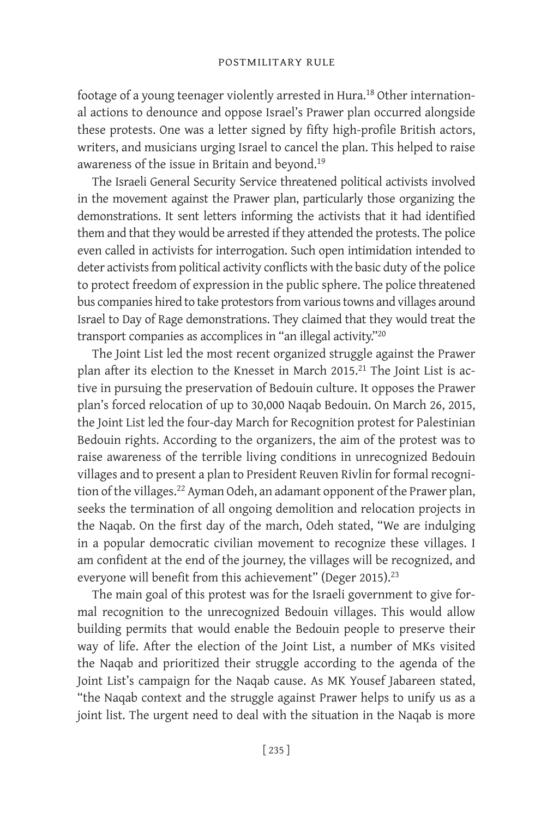footage of a young teenager violently arrested in Hura.<sup>18</sup> Other international actions to denounce and oppose Israel's Prawer plan occurred alongside these protests. One was a letter signed by fifty high-profile British actors, writers, and musicians urging Israel to cancel the plan. This helped to raise awareness of the issue in Britain and beyond.<sup>19</sup>

The Israeli General Security Service threatened political activists involved in the movement against the Prawer plan, particularly those organizing the demonstrations. It sent letters informing the activists that it had identified them and that they would be arrested if they attended the protests. The police even called in activists for interrogation. Such open intimidation intended to deter activists from political activity conflicts with the basic duty of the police to protect freedom of expression in the public sphere. The police threatened bus companies hired to take protestors from various towns and villages around Israel to Day of Rage demonstrations. They claimed that they would treat the transport companies as accomplices in "an illegal activity."<sup>20</sup>

The Joint List led the most recent organized struggle against the Prawer plan after its election to the Knesset in March 2015.<sup>21</sup> The Joint List is active in pursuing the preservation of Bedouin culture. It opposes the Prawer plan's forced relocation of up to 30,000 Naqab Bedouin. On March 26, 2015, the Joint List led the four-day March for Recognition protest for Palestinian Bedouin rights. According to the organizers, the aim of the protest was to raise awareness of the terrible living conditions in unrecognized Bedouin villages and to present a plan to President Reuven Rivlin for formal recognition of the villages.<sup>22</sup> Ayman Odeh, an adamant opponent of the Prawer plan, seeks the termination of all ongoing demolition and relocation projects in the Naqab. On the first day of the march, Odeh stated, "We are indulging in a popular democratic civilian movement to recognize these villages. I am confident at the end of the journey, the villages will be recognized, and everyone will benefit from this achievement" (Deger 2015).<sup>23</sup>

The main goal of this protest was for the Israeli government to give formal recognition to the unrecognized Bedouin villages. This would allow building permits that would enable the Bedouin people to preserve their way of life. After the election of the Joint List, a number of MKs visited the Naqab and prioritized their struggle according to the agenda of the Joint List's campaign for the Naqab cause. As MK Yousef Jabareen stated, "the Naqab context and the struggle against Prawer helps to unify us as a joint list. The urgent need to deal with the situation in the Naqab is more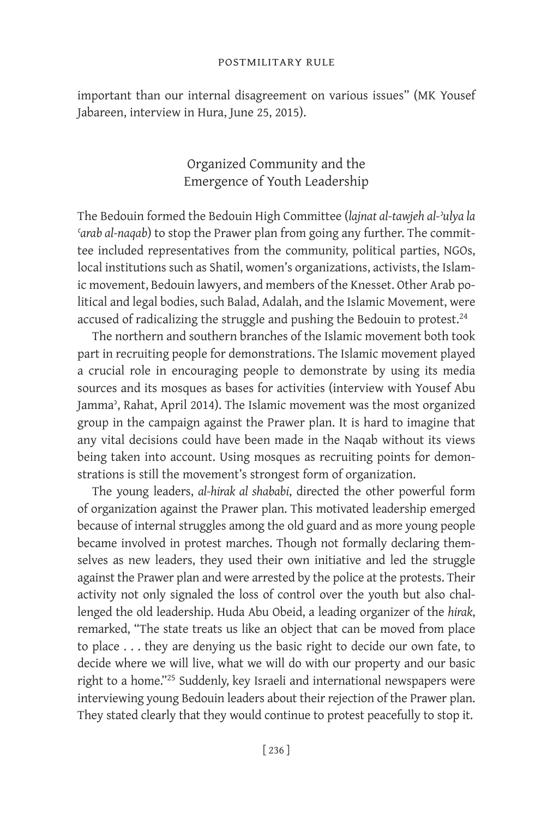important than our internal disagreement on various issues" (MK Yousef Jabareen, interview in Hura, June 25, 2015).

## Organized Community and the Emergence of Youth Leadership

The Bedouin formed the Bedouin High Committee (*lajnat al-tawjeh al-'ulya la* 'arab al-naqab) to stop the Prawer plan from going any further. The committee included representatives from the community, political parties, NGOs, local institutions such as Shatil, women's organizations, activists, the Islamic movement, Bedouin lawyers, and members of the Knesset. Other Arab political and legal bodies, such Balad, Adalah, and the Islamic Movement, were accused of radicalizing the struggle and pushing the Bedouin to protest. $24$ 

The northern and southern branches of the Islamic movement both took part in recruiting people for demonstrations. The Islamic movement played a crucial role in encouraging people to demonstrate by using its media sources and its mosques as bases for activities (interview with Yousef Abu Jamma<sup>2</sup>, Rahat, April 2014). The Islamic movement was the most organized group in the campaign against the Prawer plan. It is hard to imagine that any vital decisions could have been made in the Naqab without its views being taken into account. Using mosques as recruiting points for demonstrations is still the movement's strongest form of organization.

The young leaders, *al-hirak al shababi*, directed the other powerful form of organization against the Prawer plan. This motivated leadership emerged because of internal struggles among the old guard and as more young people became involved in protest marches. Though not formally declaring themselves as new leaders, they used their own initiative and led the struggle against the Prawer plan and were arrested by the police at the protests. Their activity not only signaled the loss of control over the youth but also challenged the old leadership. Huda Abu Obeid, a leading organizer of the hirak, remarked, "The state treats us like an object that can be moved from place to place . . . they are denying us the basic right to decide our own fate, to decide where we will live, what we will do with our property and our basic right to a home."25 Suddenly, key Israeli and international newspapers were interviewing young Bedouin leaders about their rejection of the Prawer plan. They stated clearly that they would continue to protest peacefully to stop it.